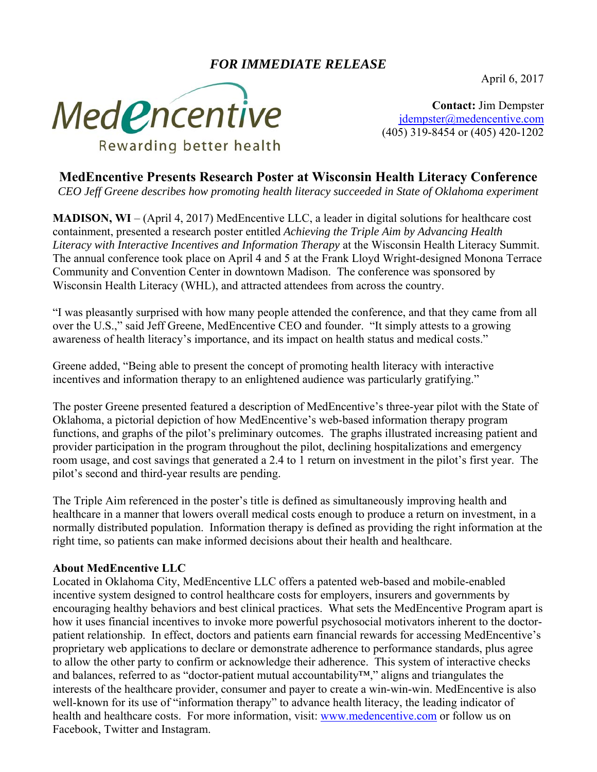## *FOR IMMEDIATE RELEASE*

April 6, 2017



**Contact:** Jim Dempster jdempster@medencentive.com (405) 319-8454 or (405) 420-1202

## **MedEncentive Presents Research Poster at Wisconsin Health Literacy Conference**

*CEO Jeff Greene describes how promoting health literacy succeeded in State of Oklahoma experiment* 

**MADISON, WI** – (April 4, 2017) MedEncentive LLC, a leader in digital solutions for healthcare cost containment, presented a research poster entitled *Achieving the Triple Aim by Advancing Health Literacy with Interactive Incentives and Information Therapy* at the Wisconsin Health Literacy Summit. The annual conference took place on April 4 and 5 at the Frank Lloyd Wright-designed Monona Terrace Community and Convention Center in downtown Madison. The conference was sponsored by Wisconsin Health Literacy (WHL), and attracted attendees from across the country.

"I was pleasantly surprised with how many people attended the conference, and that they came from all over the U.S.," said Jeff Greene, MedEncentive CEO and founder. "It simply attests to a growing awareness of health literacy's importance, and its impact on health status and medical costs."

Greene added, "Being able to present the concept of promoting health literacy with interactive incentives and information therapy to an enlightened audience was particularly gratifying."

The poster Greene presented featured a description of MedEncentive's three-year pilot with the State of Oklahoma, a pictorial depiction of how MedEncentive's web-based information therapy program functions, and graphs of the pilot's preliminary outcomes. The graphs illustrated increasing patient and provider participation in the program throughout the pilot, declining hospitalizations and emergency room usage, and cost savings that generated a 2.4 to 1 return on investment in the pilot's first year. The pilot's second and third-year results are pending.

The Triple Aim referenced in the poster's title is defined as simultaneously improving health and healthcare in a manner that lowers overall medical costs enough to produce a return on investment, in a normally distributed population. Information therapy is defined as providing the right information at the right time, so patients can make informed decisions about their health and healthcare.

## **About MedEncentive LLC**

Located in Oklahoma City, MedEncentive LLC offers a patented web-based and mobile-enabled incentive system designed to control healthcare costs for employers, insurers and governments by encouraging healthy behaviors and best clinical practices. What sets the MedEncentive Program apart is how it uses financial incentives to invoke more powerful psychosocial motivators inherent to the doctorpatient relationship. In effect, doctors and patients earn financial rewards for accessing MedEncentive's proprietary web applications to declare or demonstrate adherence to performance standards, plus agree to allow the other party to confirm or acknowledge their adherence. This system of interactive checks and balances, referred to as "doctor-patient mutual accountability™," aligns and triangulates the interests of the healthcare provider, consumer and payer to create a win-win-win. MedEncentive is also well-known for its use of "information therapy" to advance health literacy, the leading indicator of health and healthcare costs. For more information, visit: www.medencentive.com or follow us on Facebook, Twitter and Instagram.